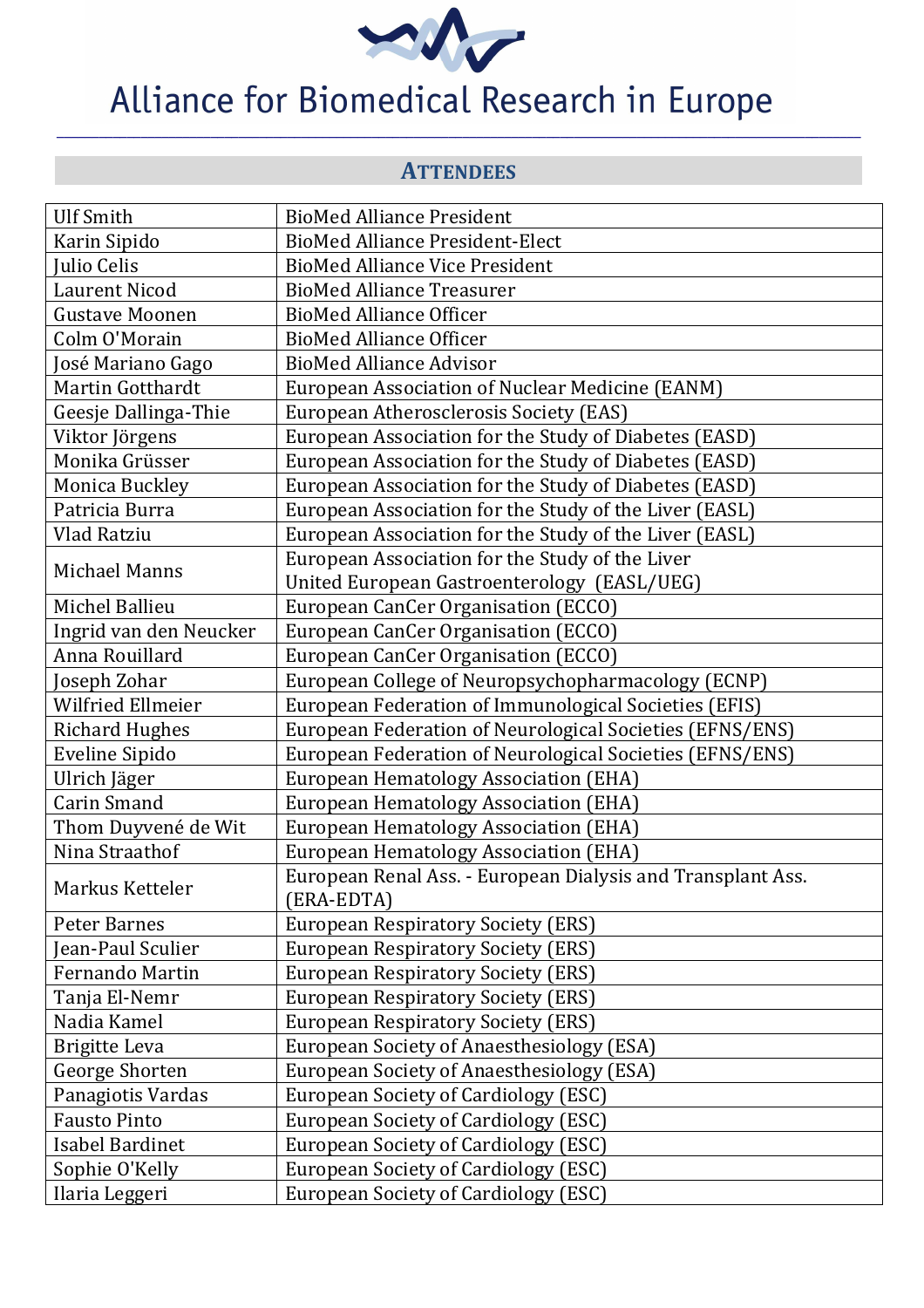

**ATTENDEES** 

**\_\_\_\_\_\_\_\_\_\_\_\_\_\_\_\_\_\_\_\_\_\_\_\_\_\_\_\_\_\_\_\_\_\_\_\_\_\_\_\_\_\_\_\_\_\_\_\_\_\_\_\_\_\_\_\_\_\_\_\_\_\_\_\_\_\_\_\_\_\_\_\_\_\_\_\_\_\_\_\_\_\_\_\_\_\_\_\_\_\_\_\_\_\_\_\_\_\_\_\_\_\_\_\_\_\_\_\_\_\_\_\_\_\_\_** 

| <b>Ulf Smith</b>                  | <b>BioMed Alliance President</b>                                                       |
|-----------------------------------|----------------------------------------------------------------------------------------|
| Karin Sipido                      | <b>BioMed Alliance President-Elect</b>                                                 |
| Julio Celis                       | <b>BioMed Alliance Vice President</b>                                                  |
| <b>Laurent Nicod</b>              | <b>BioMed Alliance Treasurer</b>                                                       |
| <b>Gustave Moonen</b>             | <b>BioMed Alliance Officer</b>                                                         |
| Colm O'Morain                     | <b>BioMed Alliance Officer</b>                                                         |
| José Mariano Gago                 | <b>BioMed Alliance Advisor</b>                                                         |
| Martin Gotthardt                  | European Association of Nuclear Medicine (EANM)                                        |
| Geesje Dallinga-Thie              | European Atherosclerosis Society (EAS)                                                 |
| Viktor Jörgens                    | European Association for the Study of Diabetes (EASD)                                  |
| Monika Grüsser                    | European Association for the Study of Diabetes (EASD)                                  |
| Monica Buckley                    | European Association for the Study of Diabetes (EASD)                                  |
| Patricia Burra                    | European Association for the Study of the Liver (EASL)                                 |
| Vlad Ratziu                       | European Association for the Study of the Liver (EASL)                                 |
| <b>Michael Manns</b>              | European Association for the Study of the Liver                                        |
|                                   | United European Gastroenterology (EASL/UEG)                                            |
| Michel Ballieu                    | European CanCer Organisation (ECCO)                                                    |
| Ingrid van den Neucker            | European CanCer Organisation (ECCO)                                                    |
| Anna Rouillard                    | European CanCer Organisation (ECCO)                                                    |
| Joseph Zohar                      | European College of Neuropsychopharmacology (ECNP)                                     |
| <b>Wilfried Ellmeier</b>          | European Federation of Immunological Societies (EFIS)                                  |
| <b>Richard Hughes</b>             | European Federation of Neurological Societies (EFNS/ENS)                               |
| Eveline Sipido                    | European Federation of Neurological Societies (EFNS/ENS)                               |
| Ulrich Jäger                      | European Hematology Association (EHA)                                                  |
| <b>Carin Smand</b>                | European Hematology Association (EHA)                                                  |
| Thom Duyvené de Wit               | European Hematology Association (EHA)                                                  |
| Nina Straathof                    | European Hematology Association (EHA)                                                  |
| Markus Ketteler                   | European Renal Ass. - European Dialysis and Transplant Ass.                            |
|                                   | (ERA-EDTA)                                                                             |
| Peter Barnes<br>Jean-Paul Sculier | <b>European Respiratory Society (ERS)</b>                                              |
| Fernando Martin                   | <b>European Respiratory Society (ERS)</b><br><b>European Respiratory Society (ERS)</b> |
|                                   |                                                                                        |
| Tanja El-Nemr<br>Nadia Kamel      | <b>European Respiratory Society (ERS)</b>                                              |
|                                   | <b>European Respiratory Society (ERS)</b>                                              |
| <b>Brigitte Leva</b>              | <b>European Society of Anaesthesiology (ESA)</b>                                       |
| George Shorten                    | <b>European Society of Anaesthesiology (ESA)</b>                                       |
| Panagiotis Vardas                 | European Society of Cardiology (ESC)                                                   |
| <b>Fausto Pinto</b>               | European Society of Cardiology (ESC)                                                   |
| <b>Isabel Bardinet</b>            | European Society of Cardiology (ESC)                                                   |
| Sophie O'Kelly                    | European Society of Cardiology (ESC)                                                   |
| Ilaria Leggeri                    | European Society of Cardiology (ESC)                                                   |